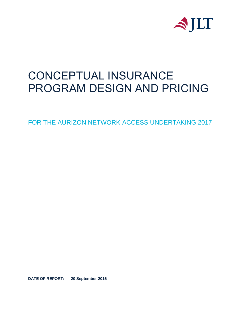

# CONCEPTUAL INSURANCE PROGRAM DESIGN AND PRICING

FOR THE AURIZON NETWORK ACCESS UNDERTAKING 2017

**DATE OF REPORT: 20 September 2016**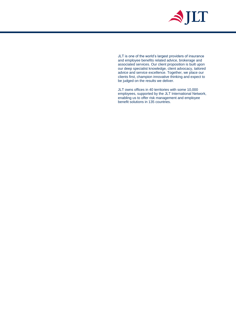

JLT is one of the world's largest providers of insurance and employee benefits related advice, brokerage and associated services. Our client proposition is built upon our deep specialist knowledge, client advocacy, tailored advice and service excellence. Together, we place our clients first, champion innovative thinking and expect to be judged on the results we deliver.

JLT owns offices in 40 territories with some 10,000 employees, supported by the JLT International Network, enabling us to offer risk management and employee benefit solutions in 135 countries.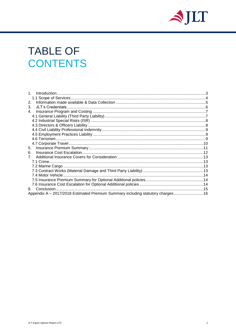

# **TABLE OF CONTENTS**

| 2.                                                                              |  |
|---------------------------------------------------------------------------------|--|
| 3.                                                                              |  |
| 4.                                                                              |  |
|                                                                                 |  |
|                                                                                 |  |
|                                                                                 |  |
|                                                                                 |  |
|                                                                                 |  |
|                                                                                 |  |
|                                                                                 |  |
| 5.                                                                              |  |
| 6.                                                                              |  |
|                                                                                 |  |
|                                                                                 |  |
|                                                                                 |  |
|                                                                                 |  |
|                                                                                 |  |
|                                                                                 |  |
|                                                                                 |  |
|                                                                                 |  |
| Appendix A - 2017/2018 Estimated Premium Summary including statutory charges 16 |  |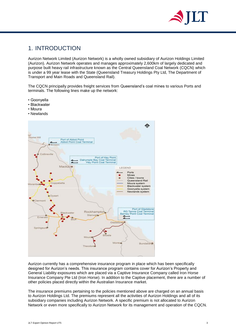

# <span id="page-3-0"></span>1. INTRODUCTION

Aurizon Network Limited (Aurizon Network) is a wholly owned subsidiary of Aurizon Holdings Limited (Aurizon). Aurizon Network operates and manages approximately 2,600km of largely dedicated and purpose built heavy rail infrastructure known as the Central Queensland Coal Network (CQCN) which is under a 99 year lease with the State (Queensland Treasury Holdings Pty Ltd, The Department of Transport and Main Roads and Queensland Rail).

The CQCN principally provides freight services from Queensland's coal mines to various Ports and terminals. The following lines make up the network:

- Goonyella
- Blackwater
- Moura
- Newlands



Aurizon currently has a comprehensive insurance program in place which has been specifically designed for Aurizon's needs. This insurance program contains cover for Aurizon's Property and General Liability exposures which are placed via a Captive Insurance Company called Iron Horse Insurance Company Pte Ltd (Iron Horse). In addition to the Captive placement, there are a number of other policies placed directly within the Australian Insurance market.

The insurance premiums pertaining to the policies mentioned above are charged on an annual basis to Aurizon Holdings Ltd. The premiums represent all the activities of Aurizon Holdings and all of its subsidiary companies including Aurizon Network. A specific premium is not allocated to Aurizon Network or even more specifically to Aurizon Network for its management and operation of the CQCN.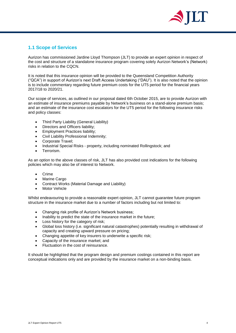

# <span id="page-4-0"></span>**1.1 Scope of Services**

Aurizon has commissioned Jardine Lloyd Thompson (JLT) to provide an expert opinion in respect of the cost and structure of a standalone insurance program covering solely Aurizon Network's (Network) risks in relation to the CQCN.

It is noted that this insurance opinion will be provided to the Queensland Competition Authority ("QCA") in support of Aurizon's next Draft Access Undertaking ("DAU"). It is also noted that the opinion is to include commentary regarding future premium costs for the UT5 period for the financial years 2017/18 to 2020/21.

Our scope of services, as outlined in our proposal dated 6th October 2015, are to provide Aurizon with an estimate of insurance premiums payable by Network's business on a stand-alone premium basis; and an estimate of the insurance cost escalators for the UT5 period for the following insurance risks and policy classes:

- Third Party Liability (General Liability)
- Directors and Officers liability;
- Employment Practices liability;
- Civil Liability Professional Indemnity;
- Corporate Travel;
- Industrial Special Risks property, including nominated Rollingstock; and
- Terrorism.

As an option to the above classes of risk, JLT has also provided cost indications for the following policies which may also be of interest to Network.

- Crime
- Marine Cargo
- Contract Works (Material Damage and Liability)
- Motor Vehicle

Whilst endeavouring to provide a reasonable expert opinion, JLT cannot guarantee future program structure in the insurance market due to a number of factors including but not limited to:

- Changing risk profile of Aurizon's Network business;
- Inability to predict the state of the insurance market in the future;
- Loss history for the category of risk;
- Global loss history (i.e. significant natural catastrophes) potentially resulting in withdrawal of capacity and creating upward pressure on pricing;
- Changing appetite of key insurers to underwrite a specific risk;
- Capacity of the insurance market; and
- Fluctuation in the cost of reinsurance.

It should be highlighted that the program design and premium costings contained in this report are conceptual indications only and are provided by the insurance market on a non-binding basis.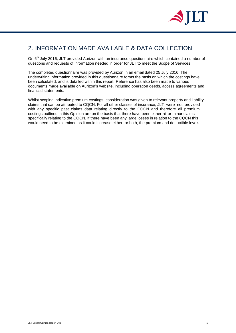

# <span id="page-5-0"></span>2. INFORMATION MADE AVAILABLE & DATA COLLECTION

On 6<sup>th</sup> July 2016, JLT provided Aurizon with an insurance questionnaire which contained a number of questions and requests of information needed in order for JLT to meet the Scope of Services.

The completed questionnaire was provided by Aurizon in an email dated 25 July 2016. The underwriting information provided in this questionnaire forms the basis on which the costings have been calculated, and is detailed within this report. Reference has also been made to various documents made available on Aurizon's website, including operation deeds, access agreements and financial statements.

Whilst scoping indicative premium costings, consideration was given to relevant property and liability claims that can be attributed to CQCN. For all other classes of insurance, JLT were not provided with any specific past claims data relating directly to the CQCN and therefore all premium costings outlined in this Opinion are on the basis that there have been either nil or minor claims specifically relating to the CQCN. If there have been any large losses in relation to the CQCN this would need to be examined as it could increase either, or both, the premium and deductible levels.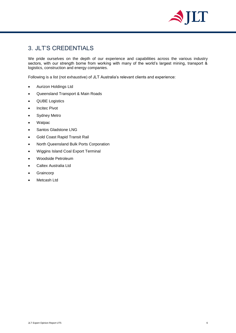

# <span id="page-6-0"></span>3. JLT'S CREDENTIALS

We pride ourselves on the depth of our experience and capabilities across the various industry sectors, with our strength borne from working with many of the world's largest mining, transport & logistics, construction and energy companies.

Following is a list (not exhaustive) of JLT Australia's relevant clients and experience:

- Aurizon Holdings Ltd
- Queensland Transport & Main Roads
- QUBE Logistics
- Incitec Pivot
- Sydney Metro
- Watpac
- Santos Gladstone LNG
- Gold Coast Rapid Transit Rail
- North Queensland Bulk Ports Corporation
- Wiggins Island Coal Export Terminal
- Woodside Petroleum
- Caltex Australia Ltd
- Graincorp
- Metcash Ltd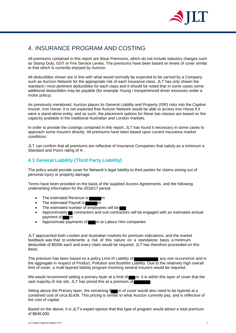

# <span id="page-7-0"></span>4. INSURANCE PROGRAM AND COSTING

All premiums contained in this report are Base Premiums, which do not include statutory charges such as Stamp Duty, GST or Fire Service Levies. The premiums have been based on levels of cover similar to that which is currently enjoyed by Aurizon.

All deductibles shown are in line with what would normally be expected to be carried by a Company such as Aurizon Network for the appropriate risk of each insurance class. JLT has only shown the standard / most pertinent deductibles for each class and it should be noted that in some cases some additional deductibles may be payable (for example Young / Inexperienced driver excesses under a motor policy).

As previously mentioned, Aurizon places its General Liability and Property (ISR) risks into the Captive insurer, Iron Horse. It is not expected that Aurizon Network would be able to access Iron Horse if it were a stand-alone entity, and as such, the placement options for these two classes are based on the capacity available in the traditional Australian and London markets.

In order to provide the costings contained in this report, JLT has found it necessary in some cases to approach some Insurers directly. All premiums have been based upon current insurance market conditions.

JLT can confirm that all premiums are reflective of Insurance Companies that satisfy as a minimum a Standard and Poors rating of A-.

## <span id="page-7-1"></span>**4.1 General Liability (Third Party Liability)**

The policy would provide cover for Network's legal liability to third parties for claims arising out of personal injury or property damage.

Terms have been provided on the basis of the supplied Access Agreements, and the following underwriting information for the 2016/17 period.

- The estimated Revenue is **manner** m
- The estimated Payroll is means
- The estimated number of employees will be
- Approximately  $\blacksquare$  contractors and sub-contractors will be engaged with an estimated annual  $p$ ayment of  $\blacksquare$ m
- Approximate payments of m m to Labour Hire companies

JLT approached both London and Australian markets for premium indications, and the market feedback was that to underwrite a risk of this nature on a standalone basis, a minimum deductible of \$500k each and every claim would be required. JLT has therefore proceeded on this basis.

The premium has been based on a policy Limit of Liability of **The Common State of Any one occurrence and in** the aggregate in respect of Product, Pollution and Bushfire Liability. Due to the relatively high overall limit of cover, a multi layered liability program involving several insurers would be required.

We would recommend setting a primary layer at a limit of mannepth. It is within this layer of cover that the vast majority of risk sits. JLT has priced this at a premium of

Sitting above the Primary layer, the remaining \$ m of cover would also need to be layered at a combined cost of circa \$143k. This pricing is similar to what Aurizon currently pay, and is reflective of the cost of capital.

Based on the above, it is JLT's expert opinion that this type of program would attract a total premium of \$648,000.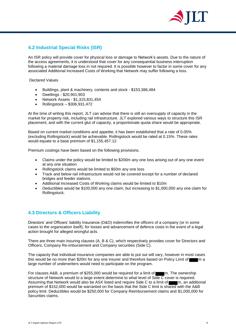

# <span id="page-8-0"></span>**4.2 Industrial Special Risks (ISR)**

An ISR policy will provide cover for physical loss or damage to Network's assets. Due to the nature of the access agreements, it is understood that cover for any consequential business interruption following a material damage loss in not required. It is possible however to factor in some cover for any associated Additional Increased Costs of Working that Network may suffer following a loss.

Declared Values

- Buildings, plant & machinery, contents and stock \$153,386,484
- Dwellings \$20,901,903
- Network Assets \$1,315,831,454
- Rollingstock \$306,931,472

At the time of writing this report, JLT can advise that there is still an oversupply of capacity in the market for property risk, including rail infrastructure. JLT explored various ways to structure this ISR placement, and with the current glut of capacity, a proportionate quota share would be appropriate.

Based on current market conditions and appetite, it has been established that a rate of 0.05% (excluding Rollingstock) would be achievable. Rollingstock would be rated at 0.15%. These rates would equate to a base premium of \$1,155,457.12.

Premium costings have been based on the following provisions.

- Claims under the policy would be limited to \$200m any one loss arising out of any one event at any one situation
- Rollingstock claims would be limited to \$50m any one loss
- Track and below rail infrastructure would not be covered except for a number of declared bridges and feeder stations.
- Additional Increased Costs of Working claims would be limited to \$10m
- Deductibles would be \$100,000 any one claim, but increasing to \$1,000,000 any one claim for Rollingstock.

## <span id="page-8-1"></span>**4.3 Directors & Officers Liability**

Directors' and Officers' liability Insurance (D&O) indemnifies the officers of a company (or in some cases to the organization itself), for losses and advancement of defence costs in the event of a legal action brought for alleged wrongful acts.

There are three main insuring clauses (A, B & C), which respectively provides cover for Directors and Officers, Company Re-imbursement and Company securities (Side C).

The capacity that individual insurance companies are able to put out will vary, however in most cases this would be no more than \$20m for any one insurer and therefore based on Policy Limit of m a large number of underwriters would need to participate on the program.

For clauses A&B, a premium of \$255,000 would be required for a limit of mann. The ownership structure of Network would to a large extent determine to what level of Side  $\overline{C}$  cover is required. Assuming that Network would also be ASX listed and require Side C to a limit of m, an additional premium of \$152,000 would be warranted on the basis that the Side C limit is shared with the A&B policy limit. Deductibles would be \$250,000 for Company Reimbursement claims and \$1,000,000 for Securities claims.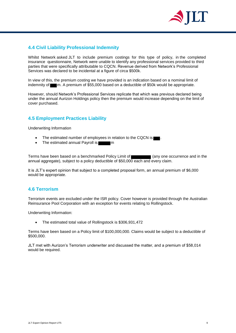

## <span id="page-9-0"></span>**4.4 Civil Liability Professional Indemnity**

Whilst Network asked JLT to include premium costings for this type of policy, in the completed insurance questionnaire, Network were unable to identify any professional services provided to third parties that were specifically attributable to CQCN. Revenue derived from Network's Professional Services was declared to be incidental at a figure of circa \$500k.

In view of this, the premium costing we have provided is an indication based on a nominal limit of indemnity of m. A premium of \$55,000 based on a deductible of \$50k would be appropriate.

However, should Network's Professional Services replicate that which was previous declared being under the annual Aurizon Holdings policy then the premium would increase depending on the limit of cover purchased.

## <span id="page-9-1"></span>**4.5 Employment Practices Liability**

Underwriting Information

- The estimated number of employees in relation to the CQCN is
- The estimated annual Payroll is **the estimated annual Payroll is**

Terms have been based on a benchmarked Policy Limit of (any one occurrence and in the annual aggregate), subject to a policy deductible of \$50,000 each and every claim.

It is JLT's expert opinion that subject to a completed proposal form, an annual premium of \$6,000 would be appropriate.

## <span id="page-9-2"></span>**4.6 Terrorism**

Terrorism events are excluded under the ISR policy. Cover however is provided through the Australian Reinsurance Pool Corporation with an exception for events relating to Rollingstock.

Underwriting Information:

The estimated total value of Rollingstock is \$306,931,472

Terms have been based on a Policy limit of \$100,000,000. Claims would be subject to a deductible of \$500,000.

JLT met with Aurizon's Terrorism underwriter and discussed the matter, and a premium of \$58,014 would be required.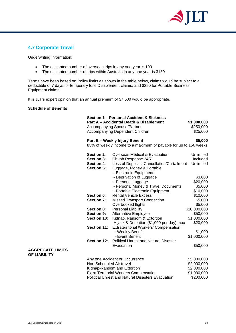

## <span id="page-10-0"></span>**4.7 Corporate Travel**

Underwriting Information:

- The estimated number of overseas trips in any one year is 100
- The estimated number of trips within Australia in any one year is 3180

Terms have been based on Policy limits as shown in the table below, claims would be subject to a deductible of 7 days for temporary total Disablement claims, and \$250 for Portable Business Equipment claims.

It is JLT's expert opinion that an annual premium of \$7,500 would be appropriate.

#### **Schedule of Benefits:**

|                                                | Section 1 - Personal Accident & Sickness |                                                                         |              |  |
|------------------------------------------------|------------------------------------------|-------------------------------------------------------------------------|--------------|--|
|                                                |                                          | Part A - Accidental Death & Disablement                                 | \$1,000,000  |  |
|                                                |                                          | Accompanying Spouse/Partner                                             | \$250,000    |  |
|                                                |                                          | Accompanying Dependent Children                                         | \$25,000     |  |
|                                                |                                          | Part B - Weekly Injury Benefit                                          |              |  |
|                                                |                                          | 85% of weekly income to a maximum of payable for up to 156 weeks        |              |  |
|                                                | Section 2:                               | Overseas Medical & Evacuation                                           | Unlimited    |  |
|                                                | Section 3:                               | Chubb Response 24/7                                                     | Included     |  |
|                                                | Section 4:<br>Section 5:                 | Loss of Deposits, Cancellation/Curtailment<br>Luggage, Money & Portable | Unlimited    |  |
|                                                |                                          | - Electronic Equipment                                                  |              |  |
|                                                |                                          | - Deprivation of Luggage                                                | \$3,000      |  |
|                                                |                                          | - Personal Luggage                                                      | \$20,000     |  |
|                                                |                                          | - Personal Money & Travel Documents                                     | \$5,000      |  |
|                                                |                                          | - Portable Electronic Equipment                                         | \$10,000     |  |
|                                                | Section 6:                               | <b>Rental Vehicle Excess</b>                                            | \$10,000     |  |
|                                                | Section 7:                               | <b>Missed Transport Connection</b>                                      | \$5,000      |  |
|                                                |                                          | Overbooked flights                                                      | \$5,000      |  |
|                                                | Section 8:                               | Personal Liability                                                      | \$10,000,000 |  |
|                                                | <b>Section 9:</b>                        | <b>Alternative Employee</b>                                             | \$50,000     |  |
|                                                | Section 10:                              | Kidnap, Ransom & Extortion                                              | \$1,000,000  |  |
|                                                |                                          | Hijack & Detention (\$1,000 per day) max                                | \$20,000     |  |
|                                                | Section 11:                              | <b>Extraterritorial Workers' Compensation</b>                           |              |  |
|                                                |                                          | - Weekly Benefit                                                        | \$1,000      |  |
|                                                |                                          | - Event Benefit                                                         | \$1,000,000  |  |
|                                                | Section 12:                              | <b>Political Unrest and Natural Disaster</b>                            |              |  |
|                                                |                                          | Evacuation                                                              | \$50,000     |  |
| <b>AGGREGATE LIMITS</b><br><b>OF LIABILITY</b> |                                          |                                                                         |              |  |
|                                                |                                          | Any one Accident or Occurrence                                          | \$5,000,000  |  |
|                                                | Non Scheduled Air travel                 |                                                                         | \$2,000,000  |  |
|                                                |                                          | Kidnap-Ransom and Extortion                                             | \$2,000,000  |  |
|                                                |                                          | <b>Extra Territorial Workers Compensation</b>                           | \$1,000,000  |  |
|                                                |                                          | <b>Political Unrest and Natural Disasters Evacuation</b>                | \$200,000    |  |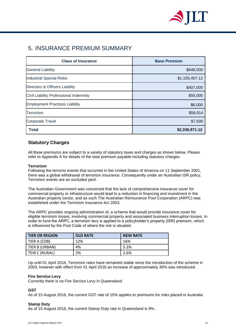

# <span id="page-11-0"></span>5. INSURANCE PREMIUM SUMMARY

| <b>Class of Insurance</b>              | <b>Base Premium</b> |  |  |
|----------------------------------------|---------------------|--|--|
| <b>General Liability</b>               | \$648,000           |  |  |
| <b>Industrial Special Risks</b>        | \$1,155,457.12      |  |  |
| Directors & Officers Liability         | \$407,000           |  |  |
| Civil Liability Professional Indemnity | \$55,000            |  |  |
| <b>Employment Practices Liability</b>  | \$6,000             |  |  |
| Terrorism                              | \$58,014            |  |  |
| <b>Corporate Travel</b>                | \$7,500             |  |  |
| <b>Total</b>                           | \$2,336,971.12      |  |  |

## **Statutory Charges**

All Base premiums are subject to a variety of statutory taxes and charges as shown below. Please refer to Appendix A for details of the total premium payable including statutory charges.

#### **Terrorism**

Following the terrorist events that occurred in the United States of America on 11 September 2001, there was a global withdrawal of terrorism insurance. Consequently under an Australian ISR policy, Terrorism events are an excluded peril.

The Australian Government was concerned that the lack of comprehensive insurance cover for commercial property or infrastructure would lead to a reduction in financing and investment in the Australian property sector, and as such The Australian Reinsurance Pool Corporation (ARPC) was established under the Terrorism Insurance Act 2003.

The ARPC provides ongoing administration of, a scheme that would provide insurance cover for eligible terrorism losses, involving commercial property and associated business interruption losses. In order to fund the ARPC, a terrorism levy is applied to a policyholder's property (ISR) premium, which is influenced by the Post Code of where the risk is situated.

| l TIER OR REGION | <b>OLD RATE</b> | <b>NEW RATE</b> |
|------------------|-----------------|-----------------|
| TIER A (CDB)     | 12%             | 16%             |
| TIER B (URBAN)   | 4%              | 5.3%            |
| TEIR C (RURAL)   | 2%              | 2.6%            |

Up until 01 April 2016, Terrorism rates have remained stable since the introduction of the scheme in 2003, however with effect from 01 April 2016 an increase of approximately 30% was introduced.

#### **Fire Service Levy**

Currently there is no Fire Service Levy in Queensland

#### **GST**

As of 15 August 2016, the current GST rate of 10% applies to premiums for risks placed in Australia

#### **Stamp Duty**

As of 15 August 2016, the current Stamp Duty rate in Queensland is 9%.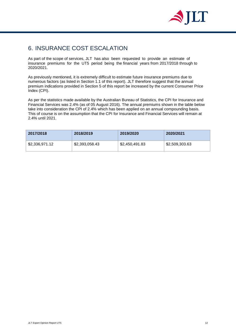

# <span id="page-12-0"></span>6. INSURANCE COST ESCALATION

As part of the scope of services, JLT has also been requested to provide an estimate of insurance premiums for the UT5 period being the financial years from 2017/2018 through to 2020/2021.

As previously mentioned, it is extremely difficult to estimate future insurance premiums due to numerous factors (as listed in Section 1.1 of this report). JLT therefore suggest that the annual premium indications provided in Section 5 of this report be increased by the current Consumer Price Index (CPI).

As per the statistics made available by the Australian Bureau of Statistics, the CPI for Insurance and Financial Services was 2.4% (as of 05 August 2016). The annual premiums shown in the table below take into consideration the CPI of 2.4% which has been applied on an annual compounding basis. This of course is on the assumption that the CPI for Insurance and Financial Services will remain at 2.4% until 2021.

| 2017/2018      | 2018/2019      | 2019/2020      | 2020/2021      |
|----------------|----------------|----------------|----------------|
| \$2,336,971.12 | \$2,393,058.43 | \$2,450,491.83 | \$2,509,303.63 |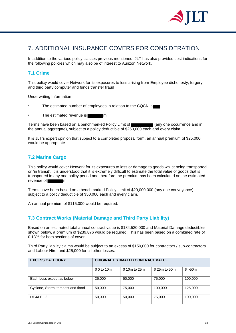

# <span id="page-13-0"></span>7. ADDITIONAL INSURANCE COVERS FOR CONSIDERATION

In addition to the various policy classes previous mentioned, JLT has also provided cost indications for the following policies which may also be of interest to Aurizon Network.

## <span id="page-13-1"></span>**7.1 Crime**

This policy would cover Network for its exposures to loss arising from Employee dishonesty, forgery and third party computer and funds transfer fraud

Underwriting Information

- The estimated number of employees in relation to the CQCN is
- The estimated revenue is **many of the estimated revenue** is

Terms have been based on a benchmarked Policy Limit of (any one occurrence and in the annual aggregate), subject to a policy deductible of \$250,000 each and every claim.

It is JLT's expert opinion that subject to a completed proposal form, an annual premium of \$25,000 would be appropriate.

## <span id="page-13-2"></span>**7.2 Marine Cargo**

This policy would cover Network for its exposures to loss or damage to goods whilst being transported or "in transit". It is understood that it is extremely difficult to estimate the total value of goods that is transported in any one policy period and therefore the premium has been calculated on the estimated revenue of **m** 

Terms have been based on a benchmarked Policy Limit of \$20,000,000 (any one conveyance), subject to a policy deductible of \$50,000 each and every claim.

An annual premium of \$115,000 would be required.

### <span id="page-13-3"></span>**7.3 Contract Works (Material Damage and Third Party Liability)**

Based on an estimated total annual contract value is \$184,520,000 and Material Damage deductibles shown below, a premium of \$239,876 would be required. This has been based on a combined rate of 0.13% for both sections of cover.

Third Party liability claims would be subject to an excess of \$150,000 for contractors / sub-contractors and Labour Hire, and \$25,000 for all other losses.

| <b>EXCESS CATEGORY</b>            | <b>ORIGINAL ESTIMATED CONTRACT VALUE</b> |              |              |          |  |
|-----------------------------------|------------------------------------------|--------------|--------------|----------|--|
|                                   | \$ 0 to 10m                              | \$10m to 25m | \$25m to 50m | \$ > 50m |  |
| Each Loss except as below         | 25,000                                   | 50,000       | 75,000       | 100,000  |  |
| Cyclone, Storm, tempest and flood | 50,000                                   | 75,000       | 100,000      | 125,000  |  |
| DE4/LEG2                          | 50,000                                   | 50,000       | 75,000       | 100,000  |  |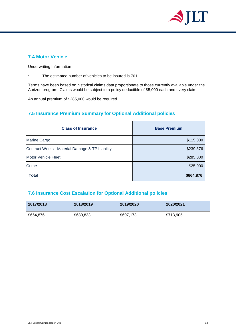

## <span id="page-14-0"></span>**7.4 Motor Vehicle**

Underwriting Information

The estimated number of vehicles to be insured is 701.

Terms have been based on historical claims data proportionate to those currently available under the Aurizon program. Claims would be subject to a policy deductible of \$5,000 each and every claim.

An annual premium of \$285,000 would be required.

# <span id="page-14-1"></span>**7.5 Insurance Premium Summary for Optional Additional policies**

| <b>Class of Insurance</b>                       | <b>Base Premium</b> |  |  |
|-------------------------------------------------|---------------------|--|--|
| Marine Cargo                                    | \$115,000           |  |  |
| Contract Works - Material Damage & TP Liability | \$239,876           |  |  |
| <b>Motor Vehicle Fleet</b>                      | \$285,000           |  |  |
| Crime                                           | \$25,000            |  |  |
| <b>Total</b>                                    | \$664,876           |  |  |

# <span id="page-14-2"></span>**7.6 Insurance Cost Escalation for Optional Additional policies**

| 2017/2018 | 2018/2019 | 2019/2020 | 2020/2021 |
|-----------|-----------|-----------|-----------|
| \$664,876 | \$680,833 | \$697,173 | \$713,905 |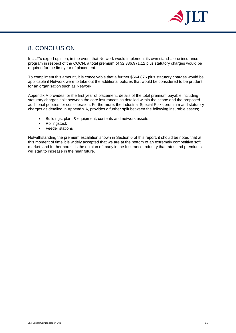

# <span id="page-15-0"></span>8. CONCLUSION

In JLT's expert opinion, in the event that Network would implement its own stand-alone insurance program in respect of the CQCN, a total premium of \$2,336,971.12 plus statutory charges would be required for the first year of placement.

To compliment this amount, it is conceivable that a further \$664,876 plus statutory charges would be applicable if Network were to take out the additional policies that would be considered to be prudent for an organisation such as Network.

Appendix A provides for the first year of placement, details of the total premium payable including statutory charges split between the core insurances as detailed within the scope and the proposed additional policies for consideration. Furthermore, the Industrial Special Risks premium and statutory charges as detailed in Appendix A, provides a further split between the following insurable assets;

- Buildings, plant & equipment, contents and network assets
- Rollingstock
- Feeder stations

Notwithstanding the premium escalation shown in Section 6 of this report, it should be noted that at this moment of time it is widely accepted that we are at the bottom of an extremely competitive soft market, and furthermore it is the opinion of many in the Insurance Industry that rates and premiums will start to increase in the near future.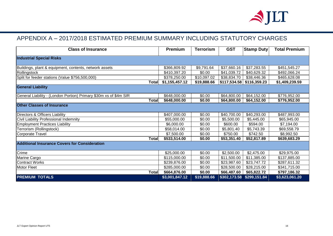

# APPENDIX A – 2017/2018 ESTIMATED PREMIUM SUMMARY INCLUDING STATUTORY CHARGES

<span id="page-16-0"></span>

| <b>Class of Insurance</b>                                         | <b>Premium</b> | Terrorism   | <b>GST</b>   | <b>Stamp Duty</b> | <b>Total Premium</b> |
|-------------------------------------------------------------------|----------------|-------------|--------------|-------------------|----------------------|
| <b>Industrial Special Risks</b>                                   |                |             |              |                   |                      |
| Buildings, plant & equipment, contents, network assets            | \$366,809.92   | \$9,791.64  | \$37,660.16  | \$37,283.55       | \$451,545.27         |
| Rollingstock                                                      | \$410,397.20   | \$0.00      | \$41,039.72  | \$40,629.32       | \$492,066.24         |
| Split for feeder stations (Value \$756,500,000)                   | \$378,250.00   | \$10,097.02 | \$38,834.70  | \$38,446.36       | \$465,628.08         |
| Total                                                             | \$1,155,457.12 | \$19,888.66 | \$117,534.58 | \$116,359.23      | \$1,409,239.59       |
| <b>General Liability</b>                                          |                |             |              |                   |                      |
| General Liability - (London Portion) Primary \$30m xs of \$4m SIR | \$648,000.00   | \$0.00      | \$64,800.00  | \$64,152.00       | \$776,952.00         |
| <b>Total</b>                                                      | \$648,000.00   | \$0.00      | \$64,800.00  | \$64,152.00       | \$776,952.00         |
| <b>Other Classes of Insurance</b>                                 |                |             |              |                   |                      |
| Directors & Officers Liability                                    | \$407,000.00   | \$0.00      | \$40,700.00  | \$40,293.00       | \$487,993.00         |
| Civil Liability Professional Indemnity                            | \$55,000.00    | \$0.00      | \$5,500.00   | \$5,445.00        | \$65,945.00          |
| <b>Employment Practices Liability</b>                             | \$6,000.00     | \$0.00      | \$600.00     | \$594.00          | \$7,194.00           |
| Terrorism (Rollingstock)                                          | \$58,014.00    | \$0.00      | \$5,801.40   | \$5,743.39        | \$69,558.79          |
| <b>Corporate Travel</b>                                           | \$7,500.00     | \$0.00      | \$750.00     | \$742.50          | \$8,992.50           |
| Total                                                             | \$533,514.00   | \$0.00      | \$53,351.40  | \$52,817.89       | \$639,683.29         |
| <b>Additional Insurance Covers for Consideration</b>              |                |             |              |                   |                      |
| Crime                                                             | \$25,000.00    | \$0.00      | \$2,500.00   | \$2,475.00        | \$29,975.00          |
| Marine Cargo                                                      | \$115,000.00   | \$0.00      | \$11,500.00  | \$11,385.00       | \$137,885.00         |
| <b>Contract Works</b>                                             | \$239,876.00   | \$0.00      | \$23,987.60  | \$23,747.72       | \$287,611.32         |
| <b>Motor Fleet</b>                                                | \$285,000.00   | \$0.00      | \$28,500.00  | \$28,215.00       | \$341,715.00         |
| <b>Total</b>                                                      | \$664,876.00   | \$0.00      | \$66,487.60  | \$65,822.72       | \$797,186.32         |
| <b>PREMIUM TOTALS</b>                                             | \$3,001,847.12 | \$19,888.66 | \$302,173.58 | \$299,151.84      | \$3,623,061.20       |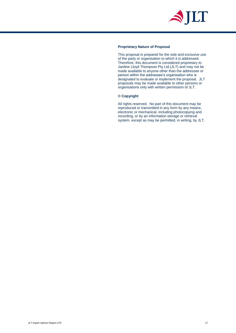

#### **Proprietary Nature of Proposal**

This proposal is prepared for the sole and exclusive use of the party or organisation to which it is addressed. Therefore, this document is considered proprietary to Jardine Lloyd Thompson Pty Ltd (JLT) and may not be made available to anyone other than the addressee or person within the addressee's organisation who is designated to evaluate or implement the proposal. JLT proposals may be made available to other persons or organisations only with written permission of JLT.

#### **© Copyright**

All rights reserved. No part of this document may be reproduced or transmitted in any form by any means, electronic or mechanical, including photocopying and recording, or by an information storage or retrieval system, except as may be permitted, in writing, by JLT.